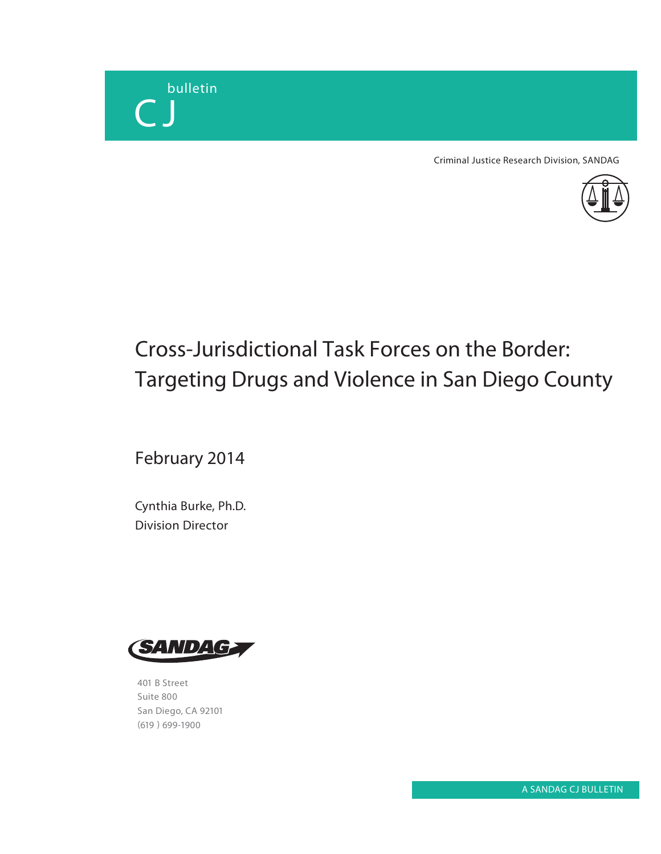

Criminal Justice Research Division, SANDAG



# Cross-Jurisdictional Task Forces on the Border: Targeting Drugs and Violence in San Diego County

February 2014

Cynthia Burke, Ph.D. Division Director



401 B Street Suite 800 San Diego, CA 92101 (619 ) 699-1900

A SANDAG CJ BULLETIN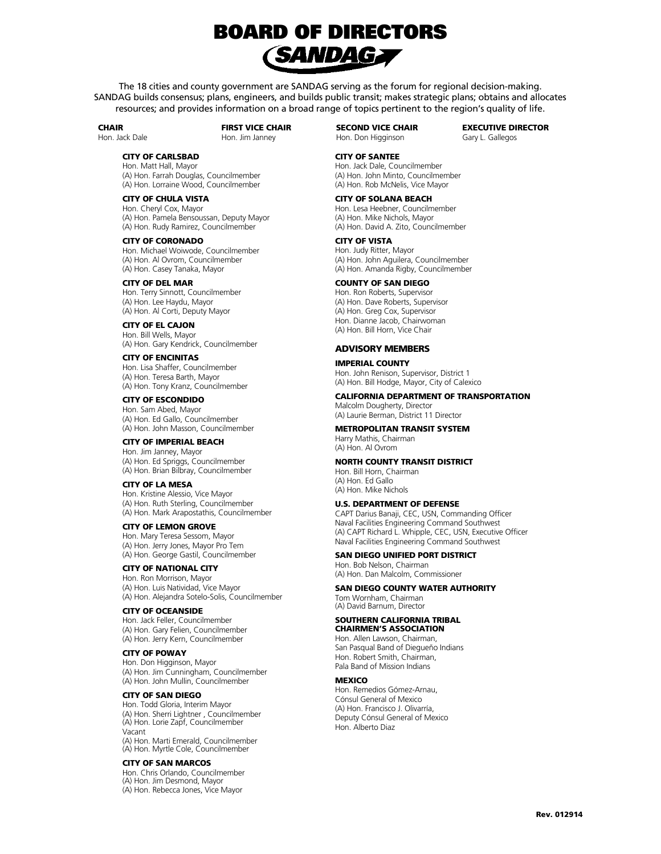

The 18 cities and county government are SANDAG serving as the forum for regional decision-making. SANDAG builds consensus; plans, engineers, and builds public transit; makes strategic plans; obtains and allocates resources; and provides information on a broad range of topics pertinent to the region's quality of life.

#### **CHAIR**

Hon. Jack Dale

FIRST VICE CHAIR Hon. Jim Janney

SECOND VICE CHAIR Hon. Don Higginson

CITY OF SANTEE

EXECUTIVE DIRECTOR Gary L. Gallegos

#### CITY OF CARLSBAD

Hon. Matt Hall, Mayor (A) Hon. Farrah Douglas, Councilmember (A) Hon. Lorraine Wood, Councilmember

# CITY OF CHULA VISTA

Hon. Cheryl Cox, Mayor (A) Hon. Pamela Bensoussan, Deputy Mayor (A) Hon. Rudy Ramirez, Councilmember

#### CITY OF CORONADO Hon. Michael Woiwode, Councilmember (A) Hon. Al Ovrom, Councilmember (A) Hon. Casey Tanaka, Mayor

CITY OF DEL MAR Hon. Terry Sinnott, Councilmember (A) Hon. Lee Haydu, Mayor (A) Hon. Al Corti, Deputy Mayor

CITY OF EL CAJON Hon. Bill Wells, Mayor (A) Hon. Gary Kendrick, Councilmember

CITY OF ENCINITAS Hon. Lisa Shaffer, Councilmember (A) Hon. Teresa Barth, Mayor (A) Hon. Tony Kranz, Councilmember

#### CITY OF ESCONDIDO Hon. Sam Abed, Mayor (A) Hon. Ed Gallo, Councilmember (A) Hon. John Masson, Councilmember

CITY OF IMPERIAL BEACH Hon. Jim Janney, Mayor

(A) Hon. Ed Spriggs, Councilmember (A) Hon. Brian Bilbray, Councilmember

### CITY OF LA MESA

Hon. Kristine Alessio, Vice Mayor (A) Hon. Ruth Sterling, Councilmember (A) Hon. Mark Arapostathis, Councilmember

### CITY OF LEMON GROVE

Hon. Mary Teresa Sessom, Mayor (A) Hon. Jerry Jones, Mayor Pro Tem (A) Hon. George Gastil, Councilmember

### CITY OF NATIONAL CITY

Hon. Ron Morrison, Mayor (A) Hon. Luis Natividad, Vice Mayor (A) Hon. Alejandra Sotelo-Solis, Councilmember

#### CITY OF OCEANSIDE

Hon. Jack Feller, Councilmember (A) Hon. Gary Felien, Councilmember (A) Hon. Jerry Kern, Councilmember

#### CITY OF POWAY

Hon. Don Higginson, Mayor (A) Hon. Jim Cunningham, Councilmember (A) Hon. John Mullin, Councilmember

#### CITY OF SAN DIEGO

Hon. Todd Gloria, Interim Mayor (A) Hon. Sherri Lightner , Councilmember (A) Hon. Lorie Zapf, Councilmember Vacant (A) Hon. Marti Emerald, Councilmember

(A) Hon. Myrtle Cole, Councilmember

#### CITY OF SAN MARCOS

Hon. Chris Orlando, Councilmember (A) Hon. Jim Desmond, Mayor (A) Hon. Rebecca Jones, Vice Mayor

#### Hon. Jack Dale, Councilmember (A) Hon. John Minto, Councilmember (A) Hon. Rob McNelis, Vice Mayor

# CITY OF SOLANA BEACH

Hon. Lesa Heebner, Councilmember (A) Hon. Mike Nichols, Mayor (A) Hon. David A. Zito, Councilmember

### CITY OF VISTA

Hon. Judy Ritter, Mayor (A) Hon. John Aguilera, Councilmember (A) Hon. Amanda Rigby, Councilmember

# COUNTY OF SAN DIEGO

Hon. Ron Roberts, Supervisor (A) Hon. Dave Roberts, Supervisor (A) Hon. Greg Cox, Supervisor Hon. Dianne Jacob, Chairwoman (A) Hon. Bill Horn, Vice Chair

### ADVISORY MEMBERS

#### IMPERIAL COUNTY

Hon. John Renison, Supervisor, District 1 (A) Hon. Bill Hodge, Mayor, City of Calexico

### CALIFORNIA DEPARTMENT OF TRANSPORTATION

Malcolm Dougherty, Director (A) Laurie Berman, District 11 Director

# METROPOLITAN TRANSIT SYSTEM

Harry Mathis, Chairman (A) Hon. Al Ovrom

### NORTH COUNTY TRANSIT DISTRICT

Hon. Bill Horn, Chairman (A) Hon. Ed Gallo (A) Hon. Mike Nichols

## U.S. DEPARTMENT OF DEFENSE

CAPT Darius Banaji, CEC, USN, Commanding Officer Naval Facilities Engineering Command Southwest (A) CAPT Richard L. Whipple, CEC, USN, Executive Officer Naval Facilities Engineering Command Southwest

#### SAN DIEGO UNIFIED PORT DISTRICT

Hon. Bob Nelson, Chairman (A) Hon. Dan Malcolm, Commissioner

### SAN DIEGO COUNTY WATER AUTHORITY

Tom Wornham, Chairman (A) David Barnum, Director

# SOUTHERN CALIFORNIA TRIBAL

CHAIRMEN'S ASSOCIATION Hon. Allen Lawson, Chairman, San Pasqual Band of Diegueño Indians Hon. Robert Smith, Chairman, Pala Band of Mission Indians

### **MEXICO**

Hon. Remedios Gómez-Arnau, Cónsul General of Mexico (A) Hon. Francisco J. Olivarría, Deputy Cónsul General of Mexico Hon. Alberto Diaz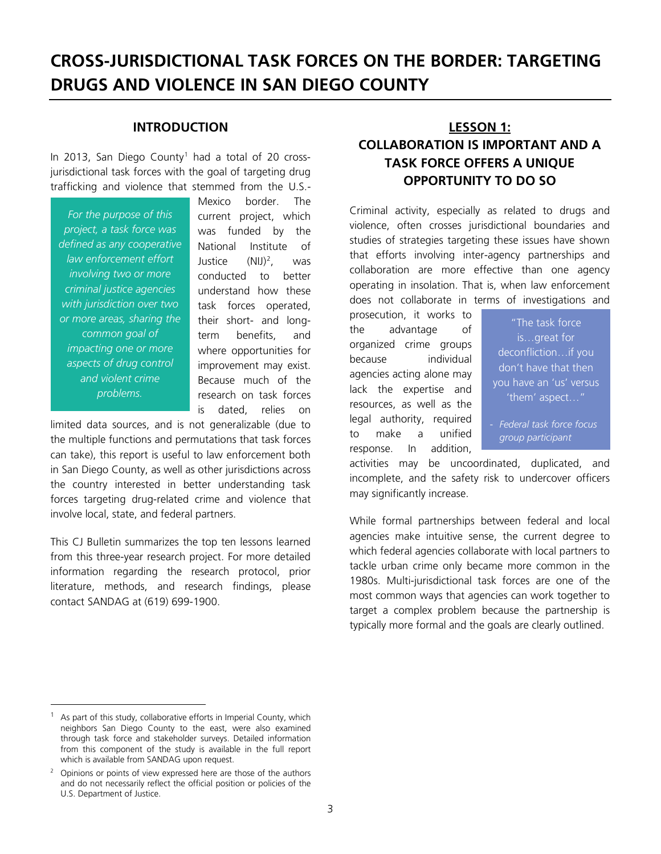# **CROSS-JURISDICTIONAL TASK FORCES ON THE BORDER: TARGETING DRUGS AND VIOLENCE IN SAN DIEGO COUNTY**

# **INTRODUCTION**

In 20[1](#page-2-0)3, San Diego County<sup>1</sup> had a total of 20 crossjurisdictional task forces with the goal of targeting drug trafficking and violence that stemmed from the U.S.-

*For the purpose of this project, a task force was defined as any cooperative law enforcement effort involving two or more criminal justice agencies with jurisdiction over two or more areas, sharing the common goal of impacting one or more aspects of drug control and violent crime problems.*

Mexico border. The current project, which was funded by the National Institute of Justice (NIJ)<sup>[2](#page-2-1)</sup>, , was conducted to better understand how these task forces operated, their short- and longterm benefits, and where opportunities for improvement may exist. Because much of the research on task forces is dated, relies on

limited data sources, and is not generalizable (due to the multiple functions and permutations that task forces can take), this report is useful to law enforcement both in San Diego County, as well as other jurisdictions across the country interested in better understanding task forces targeting drug-related crime and violence that involve local, state, and federal partners.

This CJ Bulletin summarizes the top ten lessons learned from this three-year research project. For more detailed information regarding the research protocol, prior literature, methods, and research findings, please contact SANDAG at (619) 699-1900.

# **LESSON 1: COLLABORATION IS IMPORTANT AND A TASK FORCE OFFERS A UNIQUE OPPORTUNITY TO DO SO**

Criminal activity, especially as related to drugs and violence, often crosses jurisdictional boundaries and studies of strategies targeting these issues have shown that efforts involving inter-agency partnerships and collaboration are more effective than one agency operating in insolation. That is, when law enforcement does not collaborate in terms of investigations and

prosecution, it works to the advantage of organized crime groups because individual agencies acting alone may lack the expertise and resources, as well as the legal authority, required to make a unified response. In addition,

"The task force is…great for deconfliction…if you don't have that then you have an 'us' versus 'them' aspect…"

- *Federal task force focus group participant*

activities may be uncoordinated, duplicated, and incomplete, and the safety risk to undercover officers may significantly increase.

While formal partnerships between federal and local agencies make intuitive sense, the current degree to which federal agencies collaborate with local partners to tackle urban crime only became more common in the 1980s. Multi-jurisdictional task forces are one of the most common ways that agencies can work together to target a complex problem because the partnership is typically more formal and the goals are clearly outlined.

<span id="page-2-0"></span>As part of this study, collaborative efforts in Imperial County, which neighbors San Diego County to the east, were also examined through task force and stakeholder surveys. Detailed information from this component of the study is available in the full report which is available from SANDAG upon request.

<span id="page-2-1"></span><sup>2</sup> Opinions or points of view expressed here are those of the authors and do not necessarily reflect the official position or policies of the U.S. Department of Justice.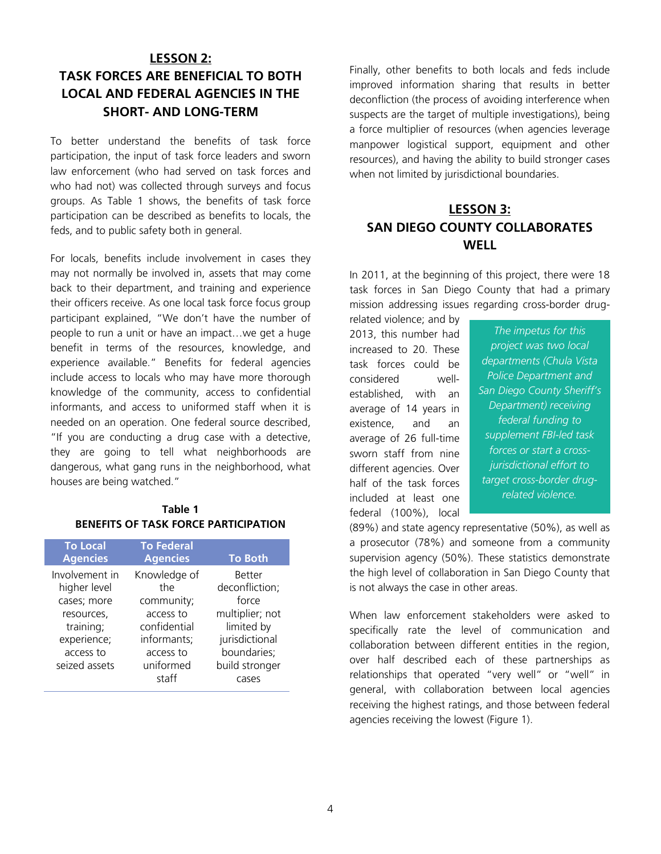# **LESSON 2: TASK FORCES ARE BENEFICIAL TO BOTH LOCAL AND FEDERAL AGENCIES IN THE SHORT- AND LONG-TERM**

To better understand the benefits of task force participation, the input of task force leaders and sworn law enforcement (who had served on task forces and who had not) was collected through surveys and focus groups. As Table 1 shows, the benefits of task force participation can be described as benefits to locals, the feds, and to public safety both in general.

For locals, benefits include involvement in cases they may not normally be involved in, assets that may come back to their department, and training and experience their officers receive. As one local task force focus group participant explained, "We don't have the number of people to run a unit or have an impact…we get a huge benefit in terms of the resources, knowledge, and experience available." Benefits for federal agencies include access to locals who may have more thorough knowledge of the community, access to confidential informants, and access to uniformed staff when it is needed on an operation. One federal source described, "If you are conducting a drug case with a detective, they are going to tell what neighborhoods are dangerous, what gang runs in the neighborhood, what houses are being watched."

# **Table 1 BENEFITS OF TASK FORCE PARTICIPATION**

| <b>To Local</b><br><b>Agencies</b>                                                                                    | <b>To Federal</b><br><b>Agencies</b>                                                                    | <b>To Both</b>                                                                                                               |
|-----------------------------------------------------------------------------------------------------------------------|---------------------------------------------------------------------------------------------------------|------------------------------------------------------------------------------------------------------------------------------|
| Involvement in<br>higher level<br>cases; more<br>resources,<br>training;<br>experience;<br>access to<br>seized assets | Knowledge of<br>the<br>community;<br>access to<br>confidential<br>informants;<br>access to<br>uniformed | <b>Better</b><br>deconfliction;<br>force<br>multiplier; not<br>limited by<br>jurisdictional<br>boundaries;<br>build stronger |
|                                                                                                                       | staff                                                                                                   | cases                                                                                                                        |

Finally, other benefits to both locals and feds include improved information sharing that results in better deconfliction (the process of avoiding interference when suspects are the target of multiple investigations), being a force multiplier of resources (when agencies leverage manpower logistical support, equipment and other resources), and having the ability to build stronger cases when not limited by jurisdictional boundaries.

# **LESSON 3: SAN DIEGO COUNTY COLLABORATES WELL**

In 2011, at the beginning of this project, there were 18 task forces in San Diego County that had a primary mission addressing issues regarding cross-border drug-

related violence; and by 2013, this number had increased to 20. These task forces could be considered wellestablished, with an average of 14 years in existence, and an average of 26 full-time sworn staff from nine different agencies. Over half of the task forces included at least one federal (100%), local

*The impetus for this project was two local departments (Chula Vista Police Department and San Diego County Sheriff's Department) receiving federal funding to supplement FBI-led task forces or start a crossjurisdictional effort to target cross-border drugrelated violence.*

(89%) and state agency representative (50%), as well as a prosecutor (78%) and someone from a community supervision agency (50%). These statistics demonstrate the high level of collaboration in San Diego County that is not always the case in other areas.

When law enforcement stakeholders were asked to specifically rate the level of communication and collaboration between different entities in the region, over half described each of these partnerships as relationships that operated "very well" or "well" in general, with collaboration between local agencies receiving the highest ratings, and those between federal agencies receiving the lowest (Figure 1).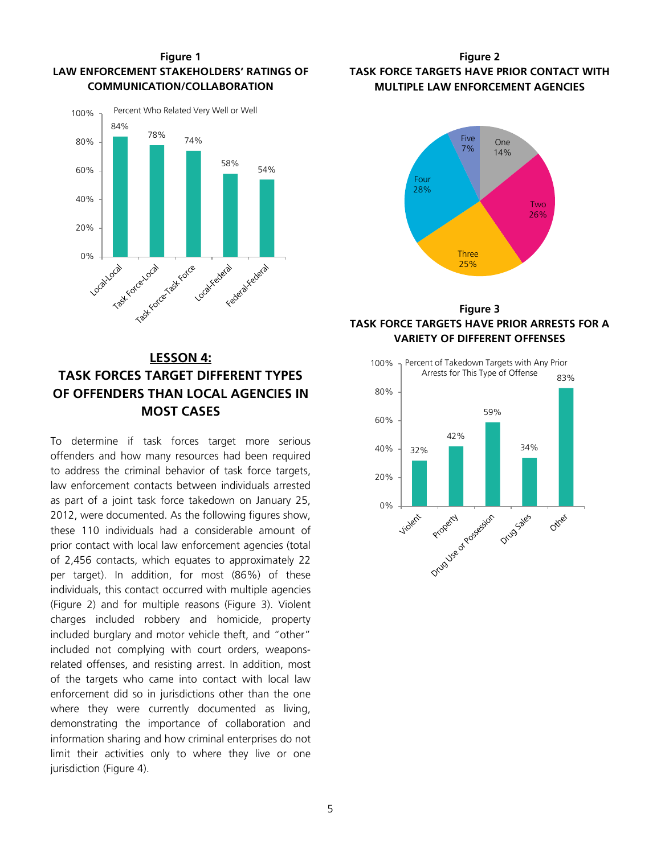

# **Figure 1 LAW ENFORCEMENT STAKEHOLDERS' RATINGS OF COMMUNICATION/COLLABORATION**

# **LESSON 4: TASK FORCES TARGET DIFFERENT TYPES OF OFFENDERS THAN LOCAL AGENCIES IN MOST CASES**

To determine if task forces target more serious offenders and how many resources had been required to address the criminal behavior of task force targets, law enforcement contacts between individuals arrested as part of a joint task force takedown on January 25, 2012, were documented. As the following figures show, these 110 individuals had a considerable amount of prior contact with local law enforcement agencies (total of 2,456 contacts, which equates to approximately 22 per target). In addition, for most (86%) of these individuals, this contact occurred with multiple agencies (Figure 2) and for multiple reasons (Figure 3). Violent charges included robbery and homicide, property included burglary and motor vehicle theft, and "other" included not complying with court orders, weaponsrelated offenses, and resisting arrest. In addition, most of the targets who came into contact with local law enforcement did so in jurisdictions other than the one where they were currently documented as living, demonstrating the importance of collaboration and information sharing and how criminal enterprises do not limit their activities only to where they live or one jurisdiction (Figure 4).

# **Figure 2 TASK FORCE TARGETS HAVE PRIOR CONTACT WITH MULTIPLE LAW ENFORCEMENT AGENCIES**



# **Figure 3 TASK FORCE TARGETS HAVE PRIOR ARRESTS FOR A VARIETY OF DIFFERENT OFFENSES**

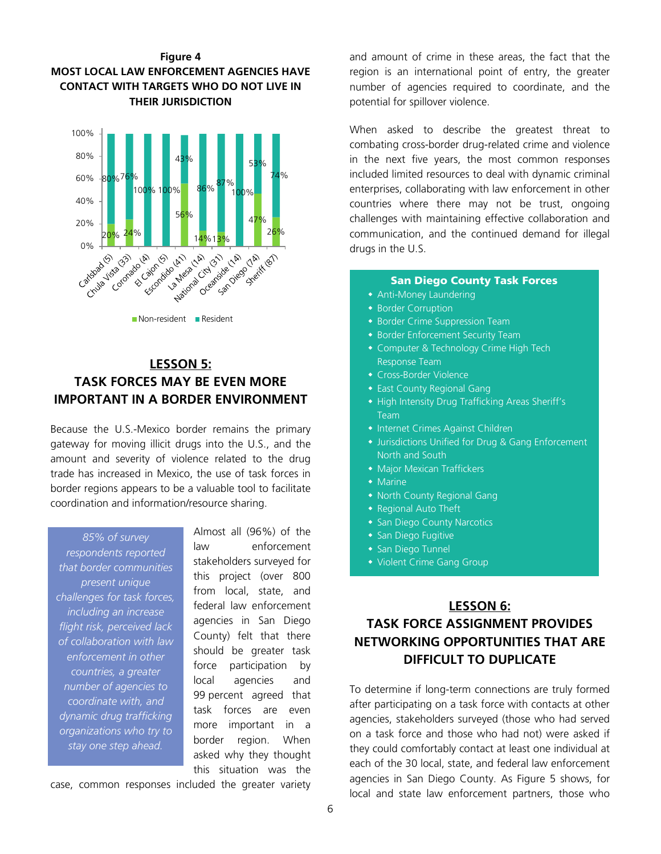



Non-resident **Resident** 

# **LESSON 5: TASK FORCES MAY BE EVEN MORE IMPORTANT IN A BORDER ENVIRONMENT**

Because the U.S.-Mexico border remains the primary gateway for moving illicit drugs into the U.S., and the amount and severity of violence related to the drug trade has increased in Mexico, the use of task forces in border regions appears to be a valuable tool to facilitate coordination and information/resource sharing.

*85% of survey respondents reported that border communities present unique challenges for task forces, including an increase flight risk, perceived lack of collaboration with law enforcement in other countries, a greater number of agencies to coordinate with, and dynamic drug trafficking organizations who try to stay one step ahead.*

Almost all (96%) of the law enforcement stakeholders surveyed for this project (over 800 from local, state, and federal law enforcement agencies in San Diego County) felt that there should be greater task force participation by local agencies and 99 percent agreed that task forces are even more important in a border region. When asked why they thought this situation was the

case, common responses included the greater variety

and amount of crime in these areas, the fact that the region is an international point of entry, the greater number of agencies required to coordinate, and the potential for spillover violence.

When asked to describe the greatest threat to combating cross-border drug-related crime and violence in the next five years, the most common responses included limited resources to deal with dynamic criminal enterprises, collaborating with law enforcement in other countries where there may not be trust, ongoing challenges with maintaining effective collaboration and communication, and the continued demand for illegal drugs in the U.S.

# San Diego County Task Forces

- Anti-Money Laundering
- **Border Corruption**
- **Border Crime Suppression Team**
- Border Enforcement Security Team
- Computer & Technology Crime High Tech Response Team
- Cross-Border Violence
- **East County Regional Gang**
- High Intensity Drug Trafficking Areas Sheriff's Team
- **Internet Crimes Against Children**
- Jurisdictions Unified for Drug & Gang Enforcement North and South
- **Major Mexican Traffickers**
- $\bullet$  Marine
- North County Regional Gang
- **Regional Auto Theft**
- **San Diego County Narcotics**
- **San Diego Fugitive**
- **San Diego Tunnel**

Ĩ

Violent Crime Gang Group

# **LESSON 6: TASK FORCE ASSIGNMENT PROVIDES NETWORKING OPPORTUNITIES THAT ARE DIFFICULT TO DUPLICATE**

To determine if long-term connections are truly formed after participating on a task force with contacts at other agencies, stakeholders surveyed (those who had served on a task force and those who had not) were asked if they could comfortably contact at least one individual at each of the 30 local, state, and federal law enforcement agencies in San Diego County. As Figure 5 shows, for local and state law enforcement partners, those who

6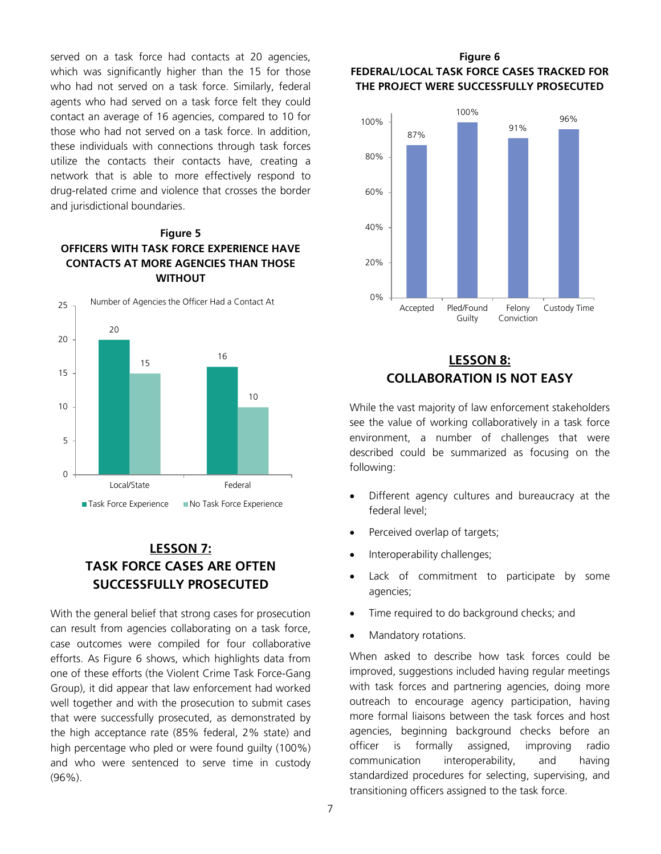served on a task force had contacts at 20 agencies, which was significantly higher than the 15 for those who had not served on a task force. Similarly, federal agents who had served on a task force felt they could contact an average of 16 agencies, compared to 10 for those who had not served on a task force. In addition, these individuals with connections through task forces utilize the contacts their contacts have, creating a network that is able to more effectively respond to drug-related crime and violence that crosses the border and jurisdictional boundaries.

# **Figure 5 OFFICERS WITH TASK FORCE EXPERIENCE HAVE CONTACTS AT MORE AGENCIES THAN THOSE WITHOUT**



# **LESSON 7: TASK FORCE CASES ARE OFTEN SUCCESSFULLY PROSECUTED**

With the general belief that strong cases for prosecution can result from agencies collaborating on a task force, case outcomes were compiled for four collaborative efforts. As Figure 6 shows, which highlights data from one of these efforts (the Violent Crime Task Force-Gang Group), it did appear that law enforcement had worked well together and with the prosecution to submit cases that were successfully prosecuted, as demonstrated by the high acceptance rate (85% federal, 2% state) and high percentage who pled or were found guilty (100%) and who were sentenced to serve time in custody (96%).

# **Figure 6 FEDERAL/LOCAL TASK FORCE CASES TRACKED FOR THE PROJECT WERE SUCCESSFULLY PROSECUTED**



# **LESSON 8: COLLABORATION IS NOT EASY**

While the vast majority of law enforcement stakeholders see the value of working collaboratively in a task force environment, a number of challenges that were described could be summarized as focusing on the following:

- Different agency cultures and bureaucracy at the federal level;
- Perceived overlap of targets;
- Interoperability challenges;
- Lack of commitment to participate by some agencies;
- Time required to do background checks; and
- Mandatory rotations.

When asked to describe how task forces could be improved, suggestions included having regular meetings with task forces and partnering agencies, doing more outreach to encourage agency participation, having more formal liaisons between the task forces and host agencies, beginning background checks before an officer is formally assigned, improving radio communication interoperability, and having standardized procedures for selecting, supervising, and transitioning officers assigned to the task force.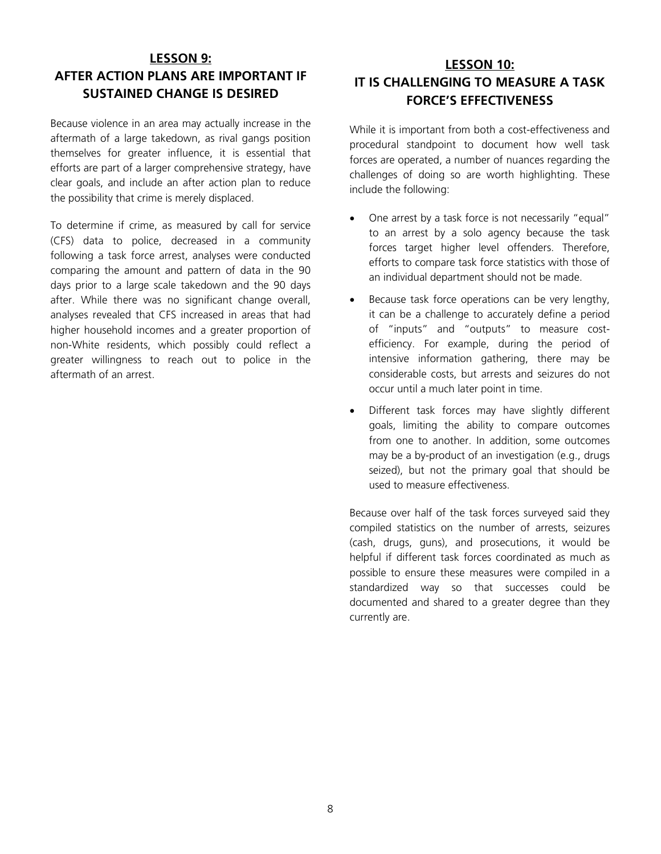# **LESSON 9: AFTER ACTION PLANS ARE IMPORTANT IF SUSTAINED CHANGE IS DESIRED**

Because violence in an area may actually increase in the aftermath of a large takedown, as rival gangs position themselves for greater influence, it is essential that efforts are part of a larger comprehensive strategy, have clear goals, and include an after action plan to reduce the possibility that crime is merely displaced.

To determine if crime, as measured by call for service (CFS) data to police, decreased in a community following a task force arrest, analyses were conducted comparing the amount and pattern of data in the 90 days prior to a large scale takedown and the 90 days after. While there was no significant change overall, analyses revealed that CFS increased in areas that had higher household incomes and a greater proportion of non-White residents, which possibly could reflect a greater willingness to reach out to police in the aftermath of an arrest.

# **LESSON 10: IT IS CHALLENGING TO MEASURE A TASK FORCE'S EFFECTIVENESS**

While it is important from both a cost-effectiveness and procedural standpoint to document how well task forces are operated, a number of nuances regarding the challenges of doing so are worth highlighting. These include the following:

- One arrest by a task force is not necessarily "equal" to an arrest by a solo agency because the task forces target higher level offenders. Therefore, efforts to compare task force statistics with those of an individual department should not be made.
- Because task force operations can be very lengthy, it can be a challenge to accurately define a period of "inputs" and "outputs" to measure costefficiency. For example, during the period of intensive information gathering, there may be considerable costs, but arrests and seizures do not occur until a much later point in time.
- Different task forces may have slightly different goals, limiting the ability to compare outcomes from one to another. In addition, some outcomes may be a by-product of an investigation (e.g., drugs seized), but not the primary goal that should be used to measure effectiveness.

Because over half of the task forces surveyed said they compiled statistics on the number of arrests, seizures (cash, drugs, guns), and prosecutions, it would be helpful if different task forces coordinated as much as possible to ensure these measures were compiled in a standardized way so that successes could be documented and shared to a greater degree than they currently are.